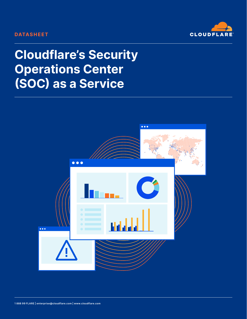#### **DATASHEET**



# **Cloudflare's Security Operations Center** (SOC) as a Service

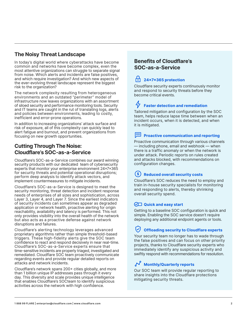## **The Noisy Threat Landscape**

In today's digital world where cyberattacks have become common and networks have become complex, even the most attentive organizations can struggle to separate signal from noise. Which alerts and incidents are false positives, and which require investigation? And which new aspects of the ever-evolving threat landscape represent the biggest risk to the organization?

The network complexity resulting from heterogeneous environments and an outdated "perimeter" model of infrastructure now leaves organizations with an assortment of siloed security and performance monitoring tools. Security and IT teams are caught in the rut of translating logs, alerts and policies between environments, leading to costly, inefficient and error-prone operations.

In addition to increasing organizations' attack surface and risk of exposure, all of this complexity can quickly lead to alert fatigue and burnout, and prevent organizations from focusing on new growth opportunities.

### **Cutting Through The Noise: Cloudflare's SOC-as-a-Service**

Cloudflare's SOC-as-a-Service combines our award winning security products with our dedicated team of cybersecurity experts that monitor your enterprise environment 24x7x365 for security threats and potential operational disruptions; perform deep analysis to identify attack vectors, and implement countermeasures to mitigate incidents.

Cloudflare's SOC-as-a-Service is designed to meet the security monitoring, threat detection and incident response needs of enterprises of all sizes and sophistication, across Layer 3, Layer 4, and Layer 7. Since the earliest indicators of security incidents can sometimes appear as degraded application or network health, proactive alerting for origin reachability, availability and latency is performed. This not only provides visibility into the overall health of the network but also acts as a proactive defense against network disruptions and failures.

Cloudflare's alerting technology leverages advanced proprietary algorithms rather than simple threshold-based triggers. These high-fidelity alerts give the SOC team confidence to react and respond decisively in near real-time. Cloudflare's SOC-as-a-Service experts ensure that time-sensitive incidents are properly triaged, investigated and remediated. Cloudflare SOC team proactively communicate regarding events and provide regular detailed reports on attacks and network incidents.

Cloudflare's network spans 200+ cities globally, and more than 1 billion unique IP addresses pass through it every day. This diversity and scale provides unique intelligence that enables Cloudflare's SOCteam to identify suspicious activities across the network with high confidence.

## **Benefits of Cloudflare's SOC-as-a-Service**

# **24x7x365 protection**

Cloudflare security experts continuously monitor and respond to security threats before they become critical events.

# **Faster detection and remediation**

Tailored mitigation and configuration by the SOC team, helps reduce lapse time between when an incident occurs, when it is detected, and when it is mitigated.

#### **Proactive communication and reporting**

Proactive communication through various channels — including phone, email and webhook — when there is a traffic anomaly or when the network is under attack. Periodic reports on rules created and attacks blocked, with recommendations on configuration changes.

#### **Reduced overall security costs**

Cloudflare's SOC reduces the need to employ and train in-house security specialists for monitoring and responding to alerts, thereby shrinking overall security spend.

#### **QUI Quick and easy start**

Getting to a baseline SOC configuration is quick and simple. Enabling the SOC service doesn't require deploying any additional endpoint agents or tools.

# **Offloading security to Cloudflare experts**

Your security team no longer has to wade through the false positives and can focus on other priority projects, thanks to Cloudflare security experts who immediately identify any suspicious activity and swiftly respond with recommendations for resolution.

# **Monthly/Quarterly reports**

Our SOC team will provide regular reporting to share insights into the Cloudflare protections mitigating security threats.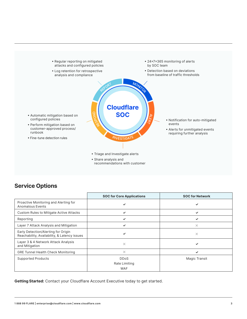

## **Service Options**

|                                                                                     | <b>SOC for Core Applications</b>           | <b>SOC for Network</b> |
|-------------------------------------------------------------------------------------|--------------------------------------------|------------------------|
| Proactive Monitoring and Alerting for<br><b>Anomalous Events</b>                    | ✓                                          | ✓                      |
| Custom Rules to Mitigate Active Attacks                                             | ✓                                          | ✓                      |
| Reporting                                                                           | ✓                                          | ✓                      |
| Layer 7 Attack Analysis and Mitigation                                              | ✓                                          | ×                      |
| Early Detection/Alerting for Origin<br>Reachability, Availability, & Latency issues | ✓                                          | ×                      |
| Layer 3 & 4 Network Attack Analysis<br>and Mitigation                               | $\times$                                   | ✓                      |
| <b>GRE Tunnel Health Check Monitoring</b>                                           | $\times$                                   | ✓                      |
| <b>Supported Products</b>                                                           | <b>DDoS</b><br>Rate Limiting<br><b>WAF</b> | Magic Transit          |

**Getting Started:** Contact your Cloudflare Account Executive today to get started.